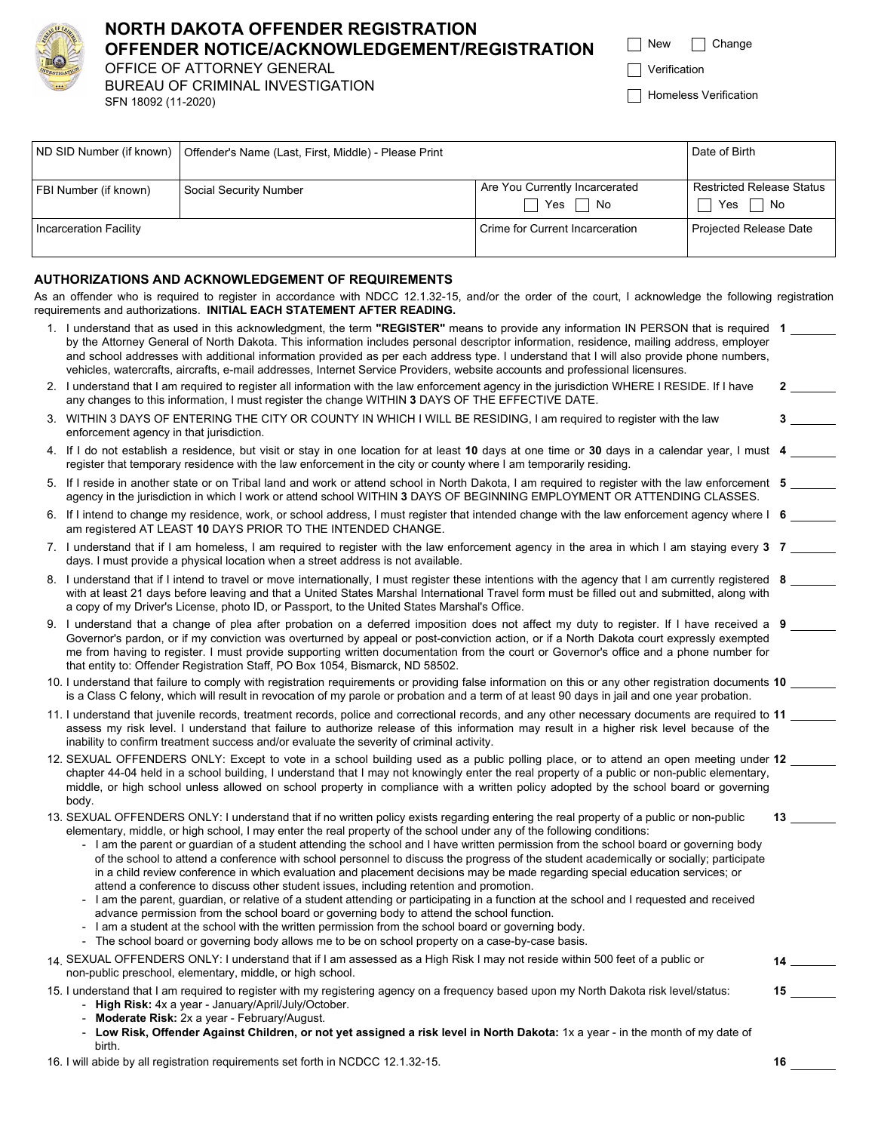

# **NORTH DAKOTA OFFENDER REGISTRATION OFFENDER NOTICE/ACKNOWLEDGEMENT/REGISTRATION**

OFFICE OF ATTORNEY GENERAL BUREAU OF CRIMINAL INVESTIGATION SFN 18092 (11-2020)

| New | Change |
|-----|--------|
|     |        |

**Verification** 

Homeless Verification

|                        | ND SID Number (if known)   Offender's Name (Last, First, Middle) - Please Print |                                                                 | Date of Birth                                                     |
|------------------------|---------------------------------------------------------------------------------|-----------------------------------------------------------------|-------------------------------------------------------------------|
| FBI Number (if known)  | Social Security Number                                                          | Are You Currently Incarcerated<br>Yes 「<br>No<br>$\blacksquare$ | <b>Restricted Release Status</b><br>Yes I<br>No<br>$\blacksquare$ |
| Incarceration Facility |                                                                                 | Crime for Current Incarceration                                 | Projected Release Date                                            |

### **AUTHORIZATIONS AND ACKNOWLEDGEMENT OF REQUIREMENTS**

As an offender who is required to register in accordance with NDCC 12.1.32-15, and/or the order of the court, I acknowledge the following registration requirements and authorizations. **INITIAL EACH STATEMENT AFTER READING.** 

|    | 1. I understand that as used in this acknowledgment, the term "REGISTER" means to provide any information IN PERSON that is required 1<br>by the Attorney General of North Dakota. This information includes personal descriptor information, residence, mailing address, employer<br>and school addresses with additional information provided as per each address type. I understand that I will also provide phone numbers,<br>vehicles, watercrafts, aircrafts, e-mail addresses, Internet Service Providers, website accounts and professional licensures.                                                                                                                                                                                                                                                                                                                                                                                                                                                                                                                                                                                                                                                                    |                  |
|----|------------------------------------------------------------------------------------------------------------------------------------------------------------------------------------------------------------------------------------------------------------------------------------------------------------------------------------------------------------------------------------------------------------------------------------------------------------------------------------------------------------------------------------------------------------------------------------------------------------------------------------------------------------------------------------------------------------------------------------------------------------------------------------------------------------------------------------------------------------------------------------------------------------------------------------------------------------------------------------------------------------------------------------------------------------------------------------------------------------------------------------------------------------------------------------------------------------------------------------|------------------|
|    | 2. I understand that I am required to register all information with the law enforcement agency in the jurisdiction WHERE I RESIDE. If I have<br>any changes to this information, I must register the change WITHIN 3 DAYS OF THE EFFECTIVE DATE.                                                                                                                                                                                                                                                                                                                                                                                                                                                                                                                                                                                                                                                                                                                                                                                                                                                                                                                                                                                   |                  |
| 3. | WITHIN 3 DAYS OF ENTERING THE CITY OR COUNTY IN WHICH I WILL BE RESIDING, I am required to register with the law<br>enforcement agency in that jurisdiction.                                                                                                                                                                                                                                                                                                                                                                                                                                                                                                                                                                                                                                                                                                                                                                                                                                                                                                                                                                                                                                                                       | $3 \quad \qquad$ |
|    | 4. If I do not establish a residence, but visit or stay in one location for at least 10 days at one time or 30 days in a calendar year, I must 4<br>register that temporary residence with the law enforcement in the city or county where I am temporarily residing.                                                                                                                                                                                                                                                                                                                                                                                                                                                                                                                                                                                                                                                                                                                                                                                                                                                                                                                                                              |                  |
|    | 5. If I reside in another state or on Tribal land and work or attend school in North Dakota, I am required to register with the law enforcement 5<br>agency in the jurisdiction in which I work or attend school WITHIN 3 DAYS OF BEGINNING EMPLOYMENT OR ATTENDING CLASSES.                                                                                                                                                                                                                                                                                                                                                                                                                                                                                                                                                                                                                                                                                                                                                                                                                                                                                                                                                       |                  |
| 6. | If I intend to change my residence, work, or school address, I must register that intended change with the law enforcement agency where I 6<br>am registered AT LEAST 10 DAYS PRIOR TO THE INTENDED CHANGE.                                                                                                                                                                                                                                                                                                                                                                                                                                                                                                                                                                                                                                                                                                                                                                                                                                                                                                                                                                                                                        |                  |
|    | 7. I understand that if I am homeless, I am required to register with the law enforcement agency in the area in which I am staying every 3 7<br>days. I must provide a physical location when a street address is not available.                                                                                                                                                                                                                                                                                                                                                                                                                                                                                                                                                                                                                                                                                                                                                                                                                                                                                                                                                                                                   |                  |
|    | 8. I understand that if I intend to travel or move internationally, I must register these intentions with the agency that I am currently registered 8<br>with at least 21 days before leaving and that a United States Marshal International Travel form must be filled out and submitted, along with<br>a copy of my Driver's License, photo ID, or Passport, to the United States Marshal's Office.                                                                                                                                                                                                                                                                                                                                                                                                                                                                                                                                                                                                                                                                                                                                                                                                                              |                  |
|    | 9. I understand that a change of plea after probation on a deferred imposition does not affect my duty to register. If I have received a 9<br>Governor's pardon, or if my conviction was overturned by appeal or post-conviction action, or if a North Dakota court expressly exempted<br>me from having to register. I must provide supporting written documentation from the court or Governor's office and a phone number for<br>that entity to: Offender Registration Staff, PO Box 1054, Bismarck, ND 58502.                                                                                                                                                                                                                                                                                                                                                                                                                                                                                                                                                                                                                                                                                                                  |                  |
|    | 10. I understand that failure to comply with registration requirements or providing false information on this or any other registration documents 10<br>is a Class C felony, which will result in revocation of my parole or probation and a term of at least 90 days in jail and one year probation.                                                                                                                                                                                                                                                                                                                                                                                                                                                                                                                                                                                                                                                                                                                                                                                                                                                                                                                              |                  |
|    | 11. I understand that juvenile records, treatment records, police and correctional records, and any other necessary documents are required to 11<br>assess my risk level. I understand that failure to authorize release of this information may result in a higher risk level because of the<br>inability to confirm treatment success and/or evaluate the severity of criminal activity.                                                                                                                                                                                                                                                                                                                                                                                                                                                                                                                                                                                                                                                                                                                                                                                                                                         |                  |
|    | 12. SEXUAL OFFENDERS ONLY: Except to vote in a school building used as a public polling place, or to attend an open meeting under 12<br>chapter 44-04 held in a school building, I understand that I may not knowingly enter the real property of a public or non-public elementary,<br>middle, or high school unless allowed on school property in compliance with a written policy adopted by the school board or governing<br>body.                                                                                                                                                                                                                                                                                                                                                                                                                                                                                                                                                                                                                                                                                                                                                                                             |                  |
|    | 13. SEXUAL OFFENDERS ONLY: I understand that if no written policy exists regarding entering the real property of a public or non-public<br>elementary, middle, or high school, I may enter the real property of the school under any of the following conditions:<br>- I am the parent or guardian of a student attending the school and I have written permission from the school board or governing body<br>of the school to attend a conference with school personnel to discuss the progress of the student academically or socially; participate<br>in a child review conference in which evaluation and placement decisions may be made regarding special education services; or<br>attend a conference to discuss other student issues, including retention and promotion.<br>I am the parent, guardian, or relative of a student attending or participating in a function at the school and I requested and received<br>advance permission from the school board or governing body to attend the school function.<br>I am a student at the school with the written permission from the school board or governing body.<br>- The school board or governing body allows me to be on school property on a case-by-case basis. |                  |
|    | 14. SEXUAL OFFENDERS ONLY: I understand that if I am assessed as a High Risk I may not reside within 500 feet of a public or<br>non-public preschool, elementary, middle, or high school.                                                                                                                                                                                                                                                                                                                                                                                                                                                                                                                                                                                                                                                                                                                                                                                                                                                                                                                                                                                                                                          |                  |
|    | 15. I understand that I am required to register with my registering agency on a frequency based upon my North Dakota risk level/status:<br>High Risk: 4x a year - January/April/July/October.<br>Moderate Risk: 2x a year - February/August.<br>Low Risk, Offender Against Children, or not yet assigned a risk level in North Dakota: 1x a year - in the month of my date of<br>birth.                                                                                                                                                                                                                                                                                                                                                                                                                                                                                                                                                                                                                                                                                                                                                                                                                                            | $15$ and $\sim$  |

16. I will abide by all registration requirements set forth in NCDCC 12.1.32-15. **16**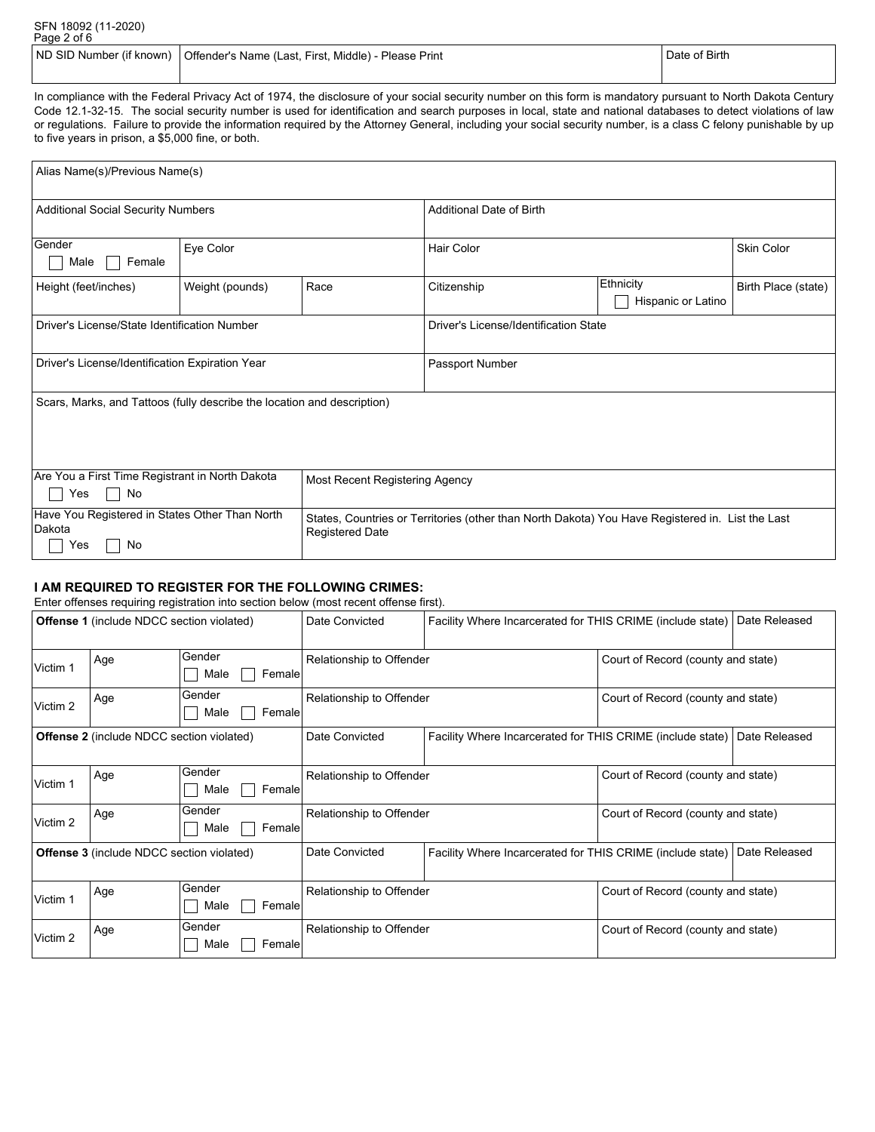| SFN 18092 (11-2020)<br>Page 2 of 6 |                                                                                 |                      |
|------------------------------------|---------------------------------------------------------------------------------|----------------------|
|                                    | ND SID Number (if known)   Offender's Name (Last, First, Middle) - Please Print | <b>Date of Birth</b> |

In compliance with the Federal Privacy Act of 1974, the disclosure of your social security number on this form is mandatory pursuant to North Dakota Century Code 12.1-32-15. The social security number is used for identification and search purposes in local, state and national databases to detect violations of law or regulations. Failure to provide the information required by the Attorney General, including your social security number, is a class C felony punishable by up to five years in prison, a \$5,000 fine, or both.

| Alias Name(s)/Previous Name(s)                                                                                                                                                                      |                                              |      |                                       |                                 |                     |  |
|-----------------------------------------------------------------------------------------------------------------------------------------------------------------------------------------------------|----------------------------------------------|------|---------------------------------------|---------------------------------|---------------------|--|
| <b>Additional Social Security Numbers</b>                                                                                                                                                           |                                              |      | <b>Additional Date of Birth</b>       |                                 |                     |  |
| Gender<br>Female<br>Male                                                                                                                                                                            | Eye Color                                    |      | Hair Color                            |                                 | <b>Skin Color</b>   |  |
| Height (feet/inches)                                                                                                                                                                                | Weight (pounds)                              | Race | Citizenship                           | Ethnicity<br>Hispanic or Latino | Birth Place (state) |  |
|                                                                                                                                                                                                     | Driver's License/State Identification Number |      | Driver's License/Identification State |                                 |                     |  |
| Driver's License/Identification Expiration Year                                                                                                                                                     |                                              |      | Passport Number                       |                                 |                     |  |
| Scars, Marks, and Tattoos (fully describe the location and description)                                                                                                                             |                                              |      |                                       |                                 |                     |  |
| Are You a First Time Registrant in North Dakota<br>Most Recent Registering Agency<br>No<br>Yes                                                                                                      |                                              |      |                                       |                                 |                     |  |
| Have You Registered in States Other Than North<br>States, Countries or Territories (other than North Dakota) You Have Registered in. List the Last<br>Dakota<br><b>Registered Date</b><br>Yes<br>No |                                              |      |                                       |                                 |                     |  |

#### **I AM REQUIRED TO REGISTER FOR THE FOLLOWING CRIMES:**

Enter offenses requiring registration into section below (most recent offense first).

|          | <b>Offense 1</b> (include NDCC section violated) |                          | Date Convicted           | Facility Where Incarcerated for THIS CRIME (include state)                  |  | Date Released |
|----------|--------------------------------------------------|--------------------------|--------------------------|-----------------------------------------------------------------------------|--|---------------|
| Victim 1 | Age                                              | Gender<br>Male<br>Female | Relationship to Offender | Court of Record (county and state)                                          |  |               |
| Victim 2 | Age                                              | Gender<br>Male<br>Female | Relationship to Offender | Court of Record (county and state)                                          |  |               |
|          | <b>Offense 2</b> (include NDCC section violated) |                          | Date Convicted           | Facility Where Incarcerated for THIS CRIME (include state)<br>Date Released |  |               |
| Victim 1 | Age                                              | Gender<br>Female<br>Male | Relationship to Offender | Court of Record (county and state)                                          |  |               |
| Victim 2 | Age                                              | Gender<br>Female<br>Male | Relationship to Offender | Court of Record (county and state)                                          |  |               |
|          | <b>Offense 3</b> (include NDCC section violated) |                          | Date Convicted           | Facility Where Incarcerated for THIS CRIME (include state)                  |  | Date Released |
| Victim 1 | Age                                              | Gender<br>Male<br>Female | Relationship to Offender | Court of Record (county and state)                                          |  |               |
| Victim 2 | Age                                              | Gender<br>Male<br>Female | Relationship to Offender | Court of Record (county and state)                                          |  |               |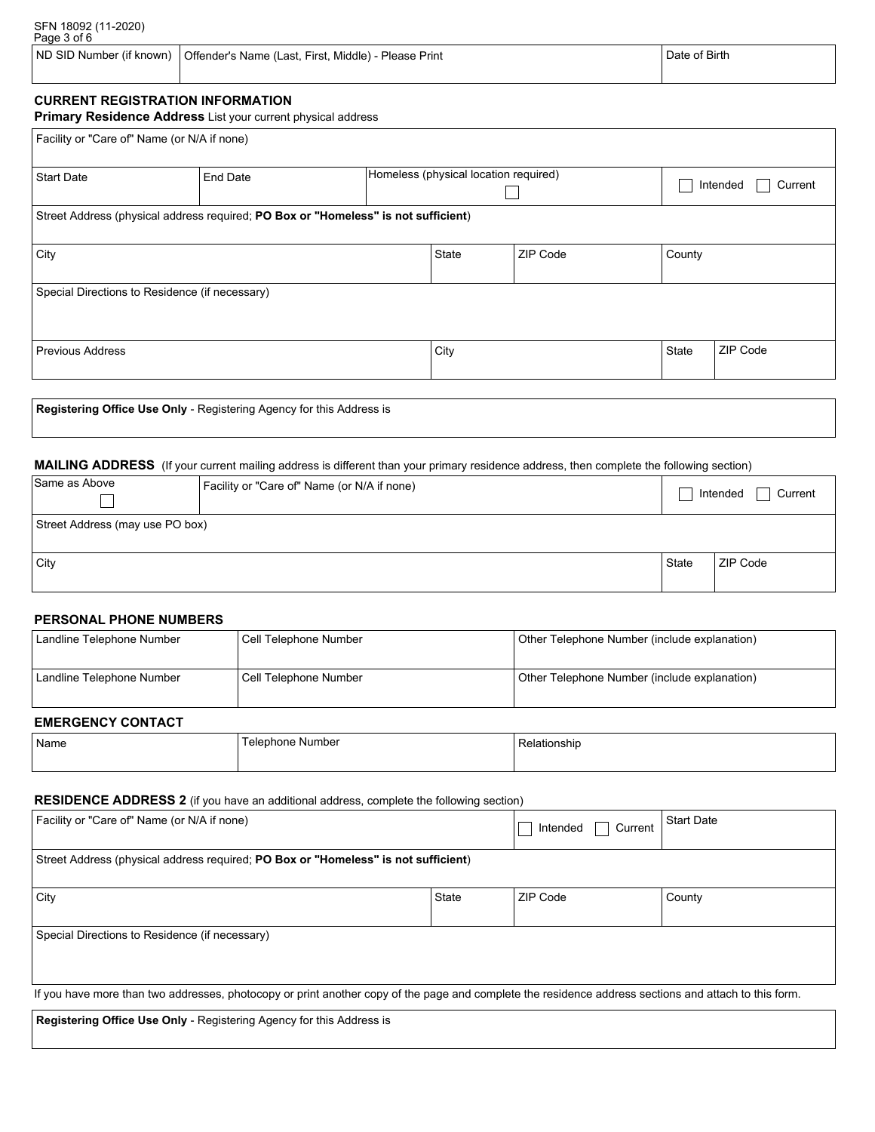ND SID Number (if known) Offender's Name (Last, First, Middle) - Please Print Date of Birth Date of Birth

# **CURRENT REGISTRATION INFORMATION**

**Primary Residence Address** List your current physical address

| Facility or "Care of" Name (or N/A if none)                          |                                                                                    |                                       |       |          |        |                     |
|----------------------------------------------------------------------|------------------------------------------------------------------------------------|---------------------------------------|-------|----------|--------|---------------------|
| <b>Start Date</b>                                                    | End Date                                                                           | Homeless (physical location required) |       |          |        | Current<br>Intended |
|                                                                      | Street Address (physical address required; PO Box or "Homeless" is not sufficient) |                                       |       |          |        |                     |
| City                                                                 |                                                                                    |                                       | State | ZIP Code | County |                     |
| Special Directions to Residence (if necessary)                       |                                                                                    |                                       |       |          |        |                     |
| <b>Previous Address</b>                                              |                                                                                    |                                       | City  |          | State  | ZIP Code            |
| Registering Office Use Only - Registering Agency for this Address is |                                                                                    |                                       |       |          |        |                     |

**MAILING ADDRESS** (If your current mailing address is different than your primary residence address, then complete the following section)

| Same as Above                   | Facility or "Care of" Name (or N/A if none) |       | Current<br>Intended |  |  |
|---------------------------------|---------------------------------------------|-------|---------------------|--|--|
| Street Address (may use PO box) |                                             |       |                     |  |  |
| , City                          |                                             | State | ZIP Code            |  |  |

#### **PERSONAL PHONE NUMBERS**

| Landline Telephone Number | Cell Telephone Number   | Other Telephone Number (include explanation) |
|---------------------------|-------------------------|----------------------------------------------|
| Landline Telephone Number | Cell Telephone Number   | Other Telephone Number (include explanation) |
| <b>EMERGENCY CONTACT</b>  |                         |                                              |
| Name                      | <b>Telephone Number</b> | Relationship                                 |

#### **RESIDENCE ADDRESS 2** (if you have an additional address, complete the following section)

| Facility or "Care of" Name (or N/A if none)                                                                                                           |       | Intended<br>Current | <b>Start Date</b> |  |  |
|-------------------------------------------------------------------------------------------------------------------------------------------------------|-------|---------------------|-------------------|--|--|
| Street Address (physical address required; PO Box or "Homeless" is not sufficient)                                                                    |       |                     |                   |  |  |
| City                                                                                                                                                  | State | ZIP Code            | County            |  |  |
| Special Directions to Residence (if necessary)                                                                                                        |       |                     |                   |  |  |
| If you have more than two addresses, photocopy or print another copy of the page and complete the residence address sections and attach to this form. |       |                     |                   |  |  |

**Registering Office Use Only** - Registering Agency for this Address is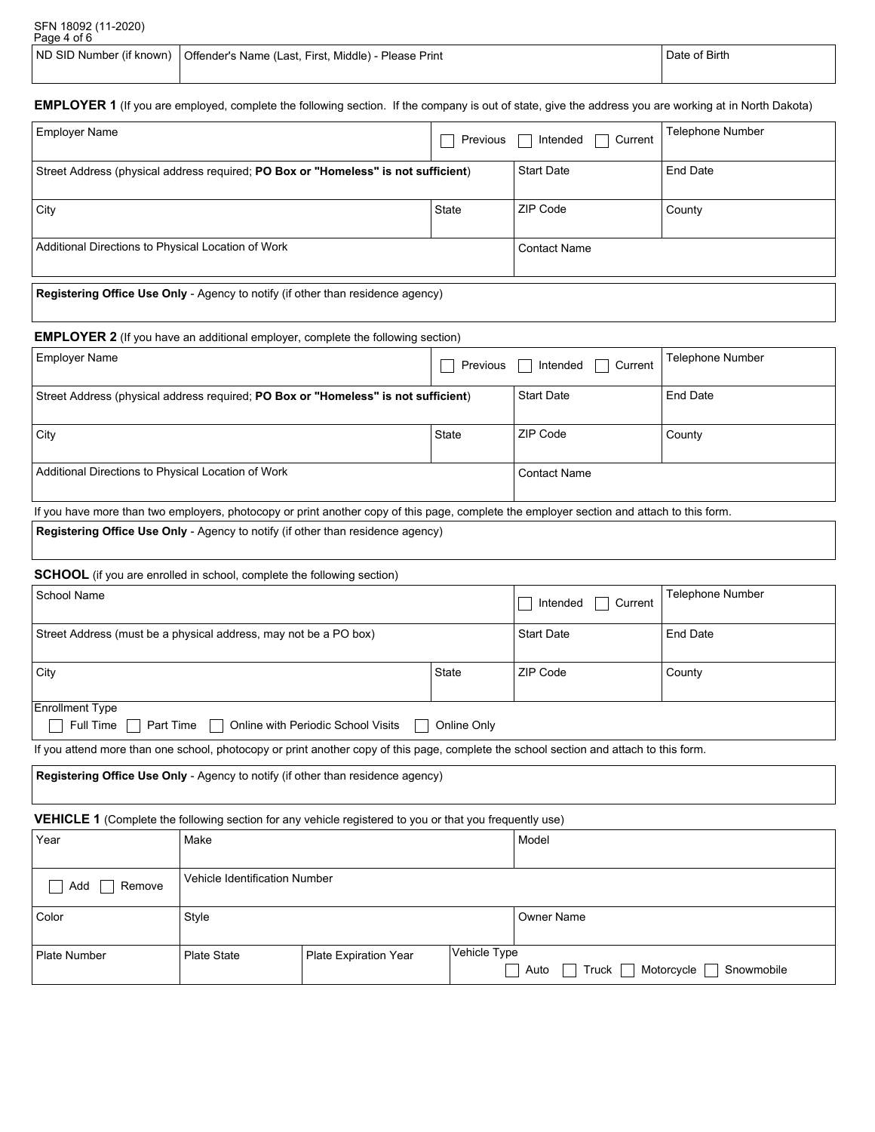| SFN 18092 (11-2020)<br>Page 4 of 6                                                                                                                           |                                                                                 |  |                  |  |  |
|--------------------------------------------------------------------------------------------------------------------------------------------------------------|---------------------------------------------------------------------------------|--|------------------|--|--|
|                                                                                                                                                              | ND SID Number (if known)   Offender's Name (Last, First, Middle) - Please Print |  | Date of Birth    |  |  |
|                                                                                                                                                              |                                                                                 |  |                  |  |  |
| <b>EMPLOYER 1</b> (If you are employed, complete the following section. If the company is out of state, give the address you are working at in North Dakota) |                                                                                 |  |                  |  |  |
| l Emnlover Name                                                                                                                                              |                                                                                 |  | Telenhone Numher |  |  |

| <b>Employer Name</b>                                                                   | Previous | Intended $\Box$<br>Current | Telephone Number |  |
|----------------------------------------------------------------------------------------|----------|----------------------------|------------------|--|
| Street Address (physical address required; PO Box or "Homeless" is not sufficient)     |          | <b>Start Date</b>          | End Date         |  |
| City                                                                                   | State    | ZIP Code                   | County           |  |
| Additional Directions to Physical Location of Work<br><b>Contact Name</b>              |          |                            |                  |  |
| <b>Registering Office Use Only</b> - Agency to notify (if other than residence agency) |          |                            |                  |  |

**EMPLOYER 2** (If you have an additional employer, complete the following section)

| <b>Employer Name</b>                                                                                                                      | Previous          | Intended<br>Current | <b>Telephone Number</b> |  |
|-------------------------------------------------------------------------------------------------------------------------------------------|-------------------|---------------------|-------------------------|--|
| Street Address (physical address required; PO Box or "Homeless" is not sufficient)                                                        | <b>Start Date</b> | End Date            |                         |  |
| City                                                                                                                                      | State             | ZIP Code            | County                  |  |
| Additional Directions to Physical Location of Work                                                                                        | l Contact Name    |                     |                         |  |
| If you have more than two employers, photocopy or print another copy of this page, complete the employer section and attach to this form. |                   |                     |                         |  |

**Registering Office Use Only** - Agency to notify (if other than residence agency)

**SCHOOL** (if you are enrolled in school, complete the following section)

| School Name                                                                                                           | Intended<br>Current | <b>Telephone Number</b> |        |  |  |
|-----------------------------------------------------------------------------------------------------------------------|---------------------|-------------------------|--------|--|--|
| Street Address (must be a physical address, may not be a PO box)                                                      | <b>Start Date</b>   | End Date                |        |  |  |
| City<br><b>State</b>                                                                                                  |                     | ZIP Code                | County |  |  |
| <b>Enrollment Type</b><br>$\Box$ Part Time $\Box$<br>Full Time  <br>Online with Periodic School Visits<br>Online Only |                     |                         |        |  |  |

If you attend more than one school, photocopy or print another copy of this page, complete the school section and attach to this form.

| Registering Office Use Only - Agency to notify (if other than residence agency) |
|---------------------------------------------------------------------------------|
|                                                                                 |

**VEHICLE 1** (Complete the following section for any vehicle registered to you or that you frequently use)

| Year          | Make                          |                       |              | Model                                               |  |  |
|---------------|-------------------------------|-----------------------|--------------|-----------------------------------------------------|--|--|
| Add<br>Remove | Vehicle Identification Number |                       |              |                                                     |  |  |
| Color         | Style                         |                       |              | <b>Owner Name</b>                                   |  |  |
| Plate Number  | Plate State                   | Plate Expiration Year | Vehicle Type | T.<br>Motorcycle [<br>Truck  <br>Snowmobile<br>Auto |  |  |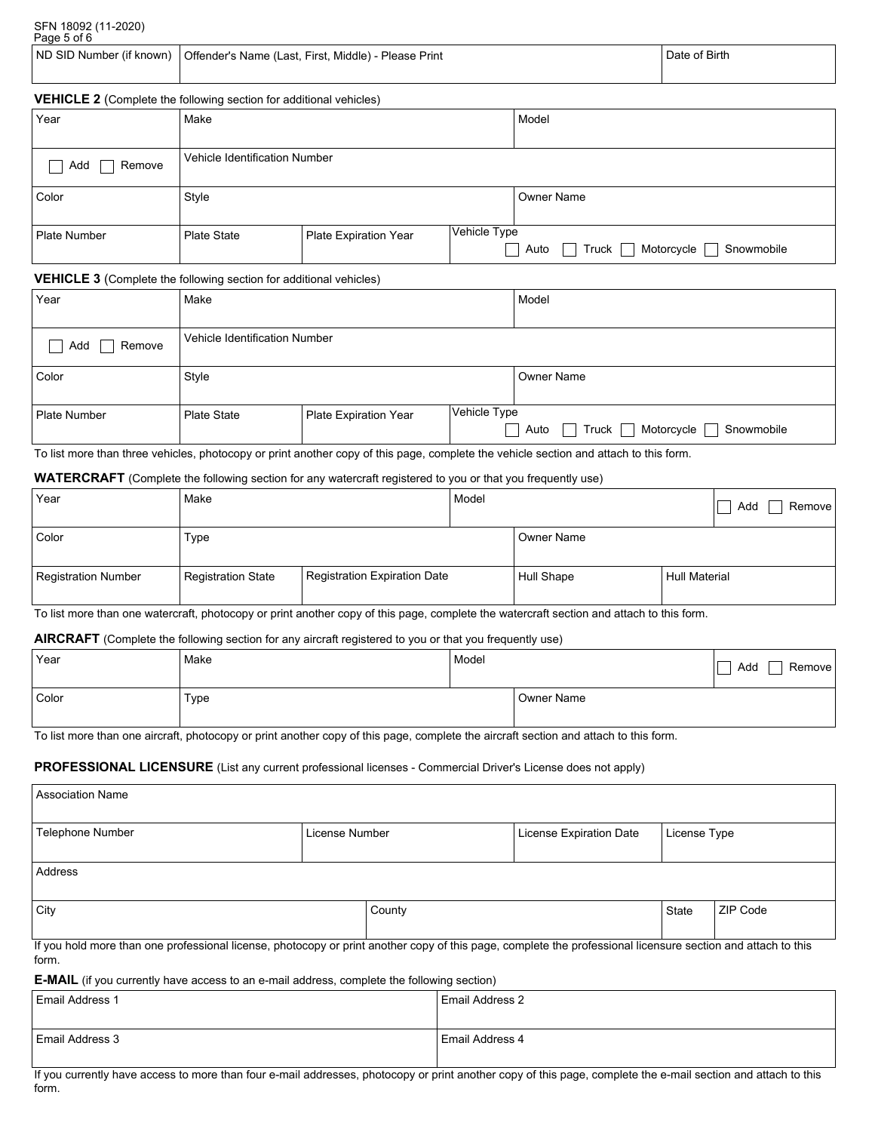|                                 | SFN 18092 (11-2020) |
|---------------------------------|---------------------|
| $D \cdot \cdot \cdot F \cdot F$ |                     |

| Page 5 of 6 |                                                                                   |               |  |  |  |
|-------------|-----------------------------------------------------------------------------------|---------------|--|--|--|
|             | ND SID Number (if known)     Offender's Name (Last, First, Middle) - Please Print | Date of Birth |  |  |  |

## **VEHICLE 2** (Complete the following section for additional vehicles)

| Year          | Make                          |                       |                                          | Model                                    |
|---------------|-------------------------------|-----------------------|------------------------------------------|------------------------------------------|
|               |                               |                       |                                          |                                          |
| Add<br>Remove | Vehicle Identification Number |                       |                                          |                                          |
| Color         | Style                         |                       |                                          | <b>Owner Name</b>                        |
| Plate Number  | <b>Plate State</b>            | Plate Expiration Year | Vehicle Type<br>$\overline{\phantom{0}}$ | Truck Motorcycle [<br>Snowmobile<br>Auto |

#### **VEHICLE 3** (Complete the following section for additional vehicles)

| Year                | Make                          |                       |              | Model                                            |  |  |
|---------------------|-------------------------------|-----------------------|--------------|--------------------------------------------------|--|--|
| Add<br>Remove       | Vehicle Identification Number |                       |              |                                                  |  |  |
| Color               | Style                         |                       |              | Owner Name                                       |  |  |
| <b>Plate Number</b> | <b>Plate State</b>            | Plate Expiration Year | Vehicle Type | Motorcycle<br>Truck $\Box$<br>Snowmobile<br>Auto |  |  |

To list more than three vehicles, photocopy or print another copy of this page, complete the vehicle section and attach to this form.

### **WATERCRAFT** (Complete the following section for any watercraft registered to you or that you frequently use)

| Year                | Make               |                              | Model |            |                      | Add<br>Remove |
|---------------------|--------------------|------------------------------|-------|------------|----------------------|---------------|
| Color               | Type               |                              |       | Owner Name |                      |               |
| Registration Number | Registration State | Registration Expiration Date |       | Hull Shape | <b>Hull Material</b> |               |

To list more than one watercraft, photocopy or print another copy of this page, complete the watercraft section and attach to this form.

## **AIRCRAFT** (Complete the following section for any aircraft registered to you or that you frequently use)

|       | _                                                                                                               | $\sim$ | . .        |               |
|-------|-----------------------------------------------------------------------------------------------------------------|--------|------------|---------------|
| Year  | Make                                                                                                            | Model  |            | Add<br>Remove |
| Color | Type                                                                                                            |        | Owner Name |               |
|       | the contract of the contract of the contract of the contract of the contract of the contract of the contract of |        |            |               |

To list more than one aircraft, photocopy or print another copy of this page, complete the aircraft section and attach to this form.

# **PROFESSIONAL LICENSURE** (List any current professional licenses - Commercial Driver's License does not apply)

| <b>Association Name</b>                                                                                                                                               |                                           |                        |  |              |          |  |
|-----------------------------------------------------------------------------------------------------------------------------------------------------------------------|-------------------------------------------|------------------------|--|--------------|----------|--|
| <b>Telephone Number</b>                                                                                                                                               | License Number<br>License Expiration Date |                        |  | License Type |          |  |
| Address                                                                                                                                                               |                                           |                        |  |              |          |  |
| City                                                                                                                                                                  |                                           | County<br>State        |  |              | ZIP Code |  |
| If you hold more than one professional license, photocopy or print another copy of this page, complete the professional licensure section and attach to this<br>form. |                                           |                        |  |              |          |  |
| <b>E-MAIL</b> (if you currently have access to an e-mail address, complete the following section)                                                                     |                                           |                        |  |              |          |  |
| <b>Email Address 1</b>                                                                                                                                                |                                           | <b>Email Address 2</b> |  |              |          |  |

| Email Address 1   | l Email Address 2 |
|-------------------|-------------------|
|                   |                   |
| l Email Address 3 | l Email Address 4 |
|                   |                   |

If you currently have access to more than four e-mail addresses, photocopy or print another copy of this page, complete the e-mail section and attach to this form.